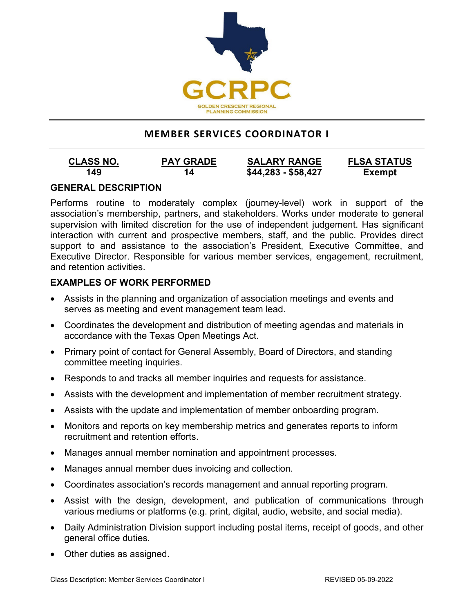

# **MEMBER SERVICES COORDINATOR I**

| <b>CLASS NO.</b> | <b>PAY GRADE</b> | <b>SALARY RANGE</b> | <b>FLSA STATUS</b> |
|------------------|------------------|---------------------|--------------------|
| 149              | 14               | $$44,283 - $58,427$ | <b>Exempt</b>      |

## **GENERAL DESCRIPTION**

Performs routine to moderately complex (journey-level) work in support of the association's membership, partners, and stakeholders. Works under moderate to general supervision with limited discretion for the use of independent judgement. Has significant interaction with current and prospective members, staff, and the public. Provides direct support to and assistance to the association's President, Executive Committee, and Executive Director. Responsible for various member services, engagement, recruitment, and retention activities.

# **EXAMPLES OF WORK PERFORMED**

- Assists in the planning and organization of association meetings and events and serves as meeting and event management team lead.
- Coordinates the development and distribution of meeting agendas and materials in accordance with the Texas Open Meetings Act.
- Primary point of contact for General Assembly, Board of Directors, and standing committee meeting inquiries.
- Responds to and tracks all member inquiries and requests for assistance.
- Assists with the development and implementation of member recruitment strategy.
- Assists with the update and implementation of member onboarding program.
- Monitors and reports on key membership metrics and generates reports to inform recruitment and retention efforts.
- Manages annual member nomination and appointment processes.
- Manages annual member dues invoicing and collection.
- Coordinates association's records management and annual reporting program.
- Assist with the design, development, and publication of communications through various mediums or platforms (e.g. print, digital, audio, website, and social media).
- Daily Administration Division support including postal items, receipt of goods, and other general office duties.
- Other duties as assigned.